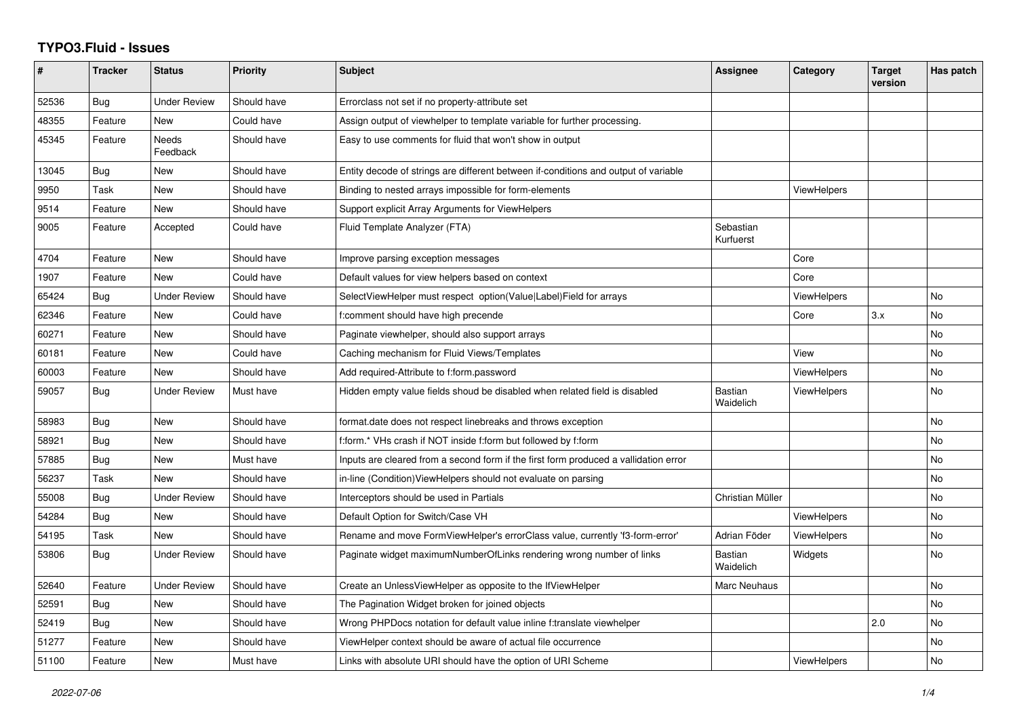## **TYPO3.Fluid - Issues**

| $\sharp$ | <b>Tracker</b> | <b>Status</b>       | <b>Priority</b> | <b>Subject</b>                                                                       | Assignee               | Category           | <b>Target</b><br>version | Has patch |
|----------|----------------|---------------------|-----------------|--------------------------------------------------------------------------------------|------------------------|--------------------|--------------------------|-----------|
| 52536    | Bug            | Under Review        | Should have     | Errorclass not set if no property-attribute set                                      |                        |                    |                          |           |
| 48355    | Feature        | <b>New</b>          | Could have      | Assign output of viewhelper to template variable for further processing.             |                        |                    |                          |           |
| 45345    | Feature        | Needs<br>Feedback   | Should have     | Easy to use comments for fluid that won't show in output                             |                        |                    |                          |           |
| 13045    | Bug            | New                 | Should have     | Entity decode of strings are different between if-conditions and output of variable  |                        |                    |                          |           |
| 9950     | Task           | New                 | Should have     | Binding to nested arrays impossible for form-elements                                |                        | <b>ViewHelpers</b> |                          |           |
| 9514     | Feature        | <b>New</b>          | Should have     | Support explicit Array Arguments for ViewHelpers                                     |                        |                    |                          |           |
| 9005     | Feature        | Accepted            | Could have      | Fluid Template Analyzer (FTA)                                                        | Sebastian<br>Kurfuerst |                    |                          |           |
| 4704     | Feature        | New                 | Should have     | Improve parsing exception messages                                                   |                        | Core               |                          |           |
| 1907     | Feature        | New                 | Could have      | Default values for view helpers based on context                                     |                        | Core               |                          |           |
| 65424    | Bug            | <b>Under Review</b> | Should have     | SelectViewHelper must respect option(Value Label)Field for arrays                    |                        | <b>ViewHelpers</b> |                          | No        |
| 62346    | Feature        | New                 | Could have      | f:comment should have high precende                                                  |                        | Core               | 3.x                      | No        |
| 60271    | Feature        | New                 | Should have     | Paginate viewhelper, should also support arrays                                      |                        |                    |                          | No        |
| 60181    | Feature        | New                 | Could have      | Caching mechanism for Fluid Views/Templates                                          |                        | View               |                          | No        |
| 60003    | Feature        | New                 | Should have     | Add required-Attribute to f:form.password                                            |                        | <b>ViewHelpers</b> |                          | No        |
| 59057    | Bug            | Under Review        | Must have       | Hidden empty value fields shoud be disabled when related field is disabled           | Bastian<br>Waidelich   | ViewHelpers        |                          | No        |
| 58983    | <b>Bug</b>     | New                 | Should have     | format.date does not respect linebreaks and throws exception                         |                        |                    |                          | <b>No</b> |
| 58921    | Bug            | New                 | Should have     | f:form.* VHs crash if NOT inside f:form but followed by f:form                       |                        |                    |                          | <b>No</b> |
| 57885    | Bug            | <b>New</b>          | Must have       | Inputs are cleared from a second form if the first form produced a vallidation error |                        |                    |                          | No        |
| 56237    | Task           | New                 | Should have     | in-line (Condition) View Helpers should not evaluate on parsing                      |                        |                    |                          | <b>No</b> |
| 55008    | Bug            | Under Review        | Should have     | Interceptors should be used in Partials                                              | Christian Müller       |                    |                          | No        |
| 54284    | <b>Bug</b>     | New                 | Should have     | Default Option for Switch/Case VH                                                    |                        | <b>ViewHelpers</b> |                          | No.       |
| 54195    | Task           | New                 | Should have     | Rename and move FormViewHelper's errorClass value, currently 'f3-form-error'         | Adrian Föder           | <b>ViewHelpers</b> |                          | <b>No</b> |
| 53806    | Bug            | Under Review        | Should have     | Paginate widget maximumNumberOfLinks rendering wrong number of links                 | Bastian<br>Waidelich   | Widgets            |                          | No        |
| 52640    | Feature        | Under Review        | Should have     | Create an UnlessViewHelper as opposite to the IfViewHelper                           | Marc Neuhaus           |                    |                          | No        |
| 52591    | <b>Bug</b>     | New                 | Should have     | The Pagination Widget broken for joined objects                                      |                        |                    |                          | <b>No</b> |
| 52419    | Bug            | New                 | Should have     | Wrong PHPDocs notation for default value inline f:translate viewhelper               |                        |                    | 2.0                      | No        |
| 51277    | Feature        | New                 | Should have     | ViewHelper context should be aware of actual file occurrence                         |                        |                    |                          | No        |
| 51100    | Feature        | <b>New</b>          | Must have       | Links with absolute URI should have the option of URI Scheme                         |                        | <b>ViewHelpers</b> |                          | No        |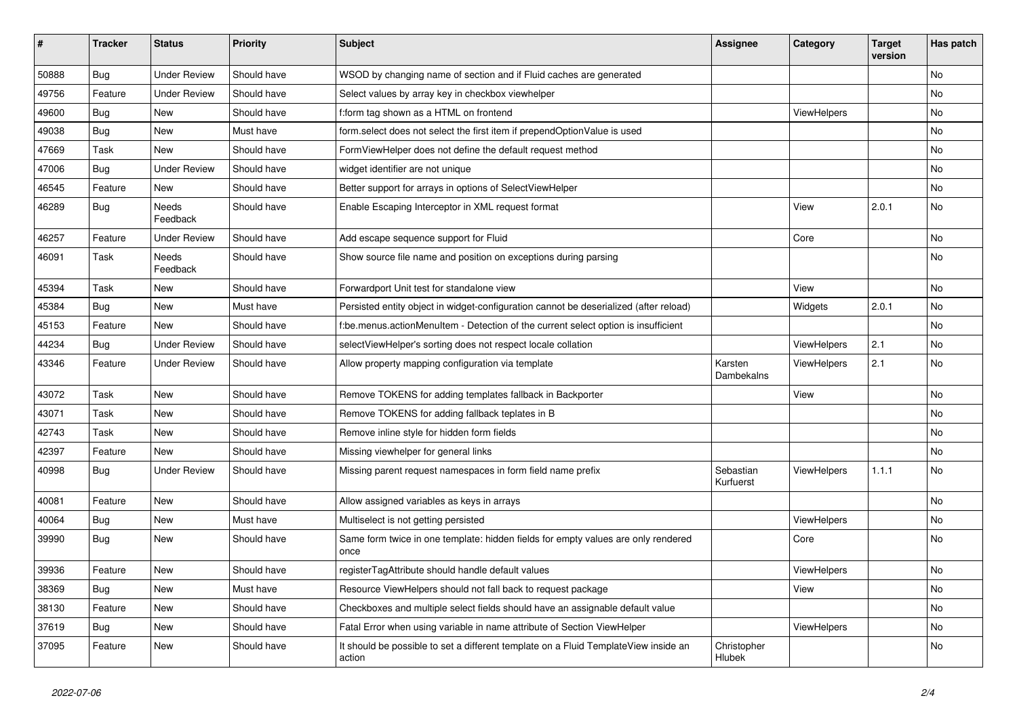| ∦     | <b>Tracker</b> | <b>Status</b>       | <b>Priority</b> | Subject                                                                                       | Assignee               | Category    | <b>Target</b><br>version | Has patch |
|-------|----------------|---------------------|-----------------|-----------------------------------------------------------------------------------------------|------------------------|-------------|--------------------------|-----------|
| 50888 | Bug            | <b>Under Review</b> | Should have     | WSOD by changing name of section and if Fluid caches are generated                            |                        |             |                          | No        |
| 49756 | Feature        | <b>Under Review</b> | Should have     | Select values by array key in checkbox viewhelper                                             |                        |             |                          | No        |
| 49600 | Bug            | New                 | Should have     | f:form tag shown as a HTML on frontend                                                        |                        | ViewHelpers |                          | No        |
| 49038 | Bug            | New                 | Must have       | form.select does not select the first item if prependOptionValue is used                      |                        |             |                          | No        |
| 47669 | Task           | New                 | Should have     | FormViewHelper does not define the default request method                                     |                        |             |                          | No        |
| 47006 | Bug            | <b>Under Review</b> | Should have     | widget identifier are not unique                                                              |                        |             |                          | No        |
| 46545 | Feature        | New                 | Should have     | Better support for arrays in options of SelectViewHelper                                      |                        |             |                          | No        |
| 46289 | <b>Bug</b>     | Needs<br>Feedback   | Should have     | Enable Escaping Interceptor in XML request format                                             |                        | View        | 2.0.1                    | No        |
| 46257 | Feature        | <b>Under Review</b> | Should have     | Add escape sequence support for Fluid                                                         |                        | Core        |                          | No        |
| 46091 | Task           | Needs<br>Feedback   | Should have     | Show source file name and position on exceptions during parsing                               |                        |             |                          | No        |
| 45394 | Task           | New                 | Should have     | Forwardport Unit test for standalone view                                                     |                        | View        |                          | No        |
| 45384 | <b>Bug</b>     | New                 | Must have       | Persisted entity object in widget-configuration cannot be deserialized (after reload)         |                        | Widgets     | 2.0.1                    | <b>No</b> |
| 45153 | Feature        | New                 | Should have     | f:be.menus.actionMenuItem - Detection of the current select option is insufficient            |                        |             |                          | No        |
| 44234 | <b>Bug</b>     | <b>Under Review</b> | Should have     | selectViewHelper's sorting does not respect locale collation                                  |                        | ViewHelpers | 2.1                      | No        |
| 43346 | Feature        | <b>Under Review</b> | Should have     | Allow property mapping configuration via template                                             | Karsten<br>Dambekalns  | ViewHelpers | 2.1                      | No        |
| 43072 | Task           | New                 | Should have     | Remove TOKENS for adding templates fallback in Backporter                                     |                        | View        |                          | No        |
| 43071 | Task           | New                 | Should have     | Remove TOKENS for adding fallback teplates in B                                               |                        |             |                          | No        |
| 42743 | Task           | New                 | Should have     | Remove inline style for hidden form fields                                                    |                        |             |                          | No        |
| 42397 | Feature        | <b>New</b>          | Should have     | Missing viewhelper for general links                                                          |                        |             |                          | No        |
| 40998 | <b>Bug</b>     | Under Review        | Should have     | Missing parent request namespaces in form field name prefix                                   | Sebastian<br>Kurfuerst | ViewHelpers | 1.1.1                    | No        |
| 40081 | Feature        | New                 | Should have     | Allow assigned variables as keys in arrays                                                    |                        |             |                          | No        |
| 40064 | Bug            | New                 | Must have       | Multiselect is not getting persisted                                                          |                        | ViewHelpers |                          | No        |
| 39990 | Bug            | New                 | Should have     | Same form twice in one template: hidden fields for empty values are only rendered<br>once     |                        | Core        |                          | No        |
| 39936 | Feature        | New                 | Should have     | registerTagAttribute should handle default values                                             |                        | ViewHelpers |                          | No        |
| 38369 | <b>Bug</b>     | New                 | Must have       | Resource ViewHelpers should not fall back to request package                                  |                        | View        |                          | No        |
| 38130 | Feature        | New                 | Should have     | Checkboxes and multiple select fields should have an assignable default value                 |                        |             |                          | No        |
| 37619 | Bug            | New                 | Should have     | Fatal Error when using variable in name attribute of Section ViewHelper                       |                        | ViewHelpers |                          | No        |
| 37095 | Feature        | New                 | Should have     | It should be possible to set a different template on a Fluid TemplateView inside an<br>action | Christopher<br>Hlubek  |             |                          | No        |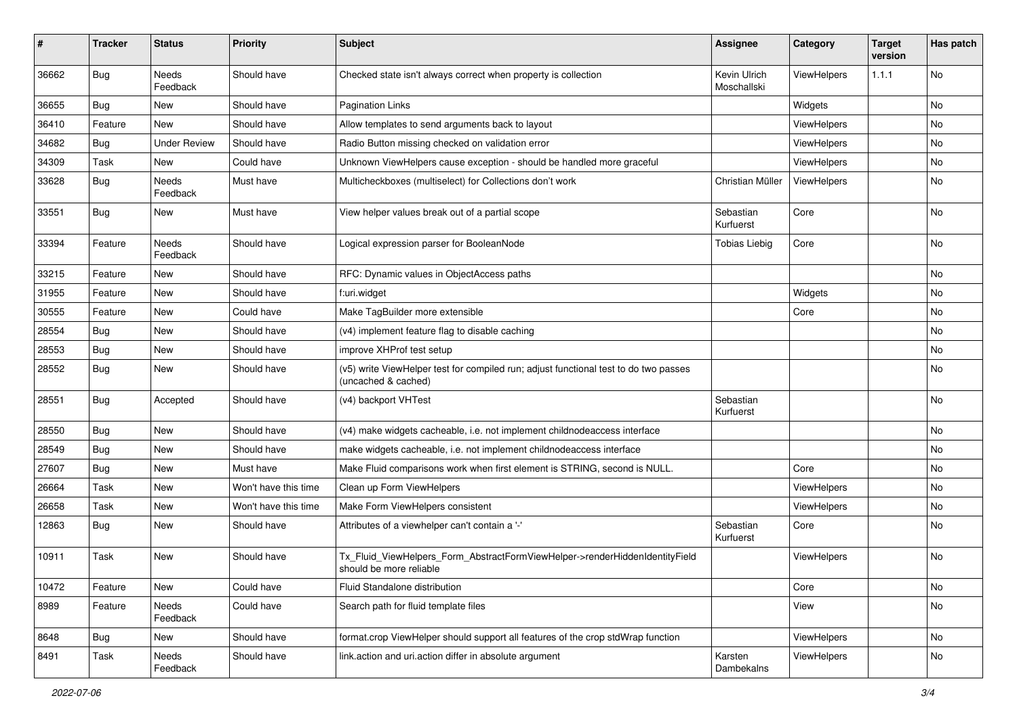| #     | <b>Tracker</b> | <b>Status</b>            | <b>Priority</b>      | <b>Subject</b>                                                                                              | <b>Assignee</b>             | Category    | <b>Target</b><br>version | Has patch |
|-------|----------------|--------------------------|----------------------|-------------------------------------------------------------------------------------------------------------|-----------------------------|-------------|--------------------------|-----------|
| 36662 | Bug            | <b>Needs</b><br>Feedback | Should have          | Checked state isn't always correct when property is collection                                              | Kevin Ulrich<br>Moschallski | ViewHelpers | 1.1.1                    | No        |
| 36655 | <b>Bug</b>     | New                      | Should have          | <b>Pagination Links</b>                                                                                     |                             | Widgets     |                          | No        |
| 36410 | Feature        | <b>New</b>               | Should have          | Allow templates to send arguments back to layout                                                            |                             | ViewHelpers |                          | No        |
| 34682 | Bug            | <b>Under Review</b>      | Should have          | Radio Button missing checked on validation error                                                            |                             | ViewHelpers |                          | No        |
| 34309 | Task           | New                      | Could have           | Unknown ViewHelpers cause exception - should be handled more graceful                                       |                             | ViewHelpers |                          | No        |
| 33628 | Bug            | Needs<br>Feedback        | Must have            | Multicheckboxes (multiselect) for Collections don't work                                                    | Christian Müller            | ViewHelpers |                          | No        |
| 33551 | <b>Bug</b>     | New                      | Must have            | View helper values break out of a partial scope                                                             | Sebastian<br>Kurfuerst      | Core        |                          | No        |
| 33394 | Feature        | Needs<br>Feedback        | Should have          | Logical expression parser for BooleanNode                                                                   | <b>Tobias Liebig</b>        | Core        |                          | No        |
| 33215 | Feature        | New                      | Should have          | RFC: Dynamic values in ObjectAccess paths                                                                   |                             |             |                          | No        |
| 31955 | Feature        | New                      | Should have          | f:uri.widget                                                                                                |                             | Widgets     |                          | No        |
| 30555 | Feature        | New                      | Could have           | Make TagBuilder more extensible                                                                             |                             | Core        |                          | No        |
| 28554 | Bug            | New                      | Should have          | (v4) implement feature flag to disable caching                                                              |                             |             |                          | No        |
| 28553 | Bug            | New                      | Should have          | improve XHProf test setup                                                                                   |                             |             |                          | No        |
| 28552 | Bug            | New                      | Should have          | (v5) write ViewHelper test for compiled run; adjust functional test to do two passes<br>(uncached & cached) |                             |             |                          | No        |
| 28551 | Bug            | Accepted                 | Should have          | (v4) backport VHTest                                                                                        | Sebastian<br>Kurfuerst      |             |                          | No        |
| 28550 | Bug            | New                      | Should have          | (v4) make widgets cacheable, i.e. not implement childnodeaccess interface                                   |                             |             |                          | No        |
| 28549 | Bug            | New                      | Should have          | make widgets cacheable, i.e. not implement childnodeaccess interface                                        |                             |             |                          | No        |
| 27607 | Bug            | New                      | Must have            | Make Fluid comparisons work when first element is STRING, second is NULL.                                   |                             | Core        |                          | No        |
| 26664 | Task           | New                      | Won't have this time | Clean up Form ViewHelpers                                                                                   |                             | ViewHelpers |                          | No        |
| 26658 | Task           | New                      | Won't have this time | Make Form ViewHelpers consistent                                                                            |                             | ViewHelpers |                          | No        |
| 12863 | <b>Bug</b>     | New                      | Should have          | Attributes of a viewhelper can't contain a '-'                                                              | Sebastian<br>Kurfuerst      | Core        |                          | No        |
| 10911 | Task           | New                      | Should have          | Tx_Fluid_ViewHelpers_Form_AbstractFormViewHelper->renderHiddenIdentityField<br>should be more reliable      |                             | ViewHelpers |                          | No        |
| 10472 | Feature        | New                      | Could have           | Fluid Standalone distribution                                                                               |                             | Core        |                          | No        |
| 8989  | Feature        | Needs<br>Feedback        | Could have           | Search path for fluid template files                                                                        |                             | View        |                          | No        |
| 8648  | <b>Bug</b>     | New                      | Should have          | format.crop ViewHelper should support all features of the crop stdWrap function                             |                             | ViewHelpers |                          | No        |
| 8491  | Task           | Needs<br>Feedback        | Should have          | link.action and uri.action differ in absolute argument                                                      | Karsten<br>Dambekalns       | ViewHelpers |                          | No        |